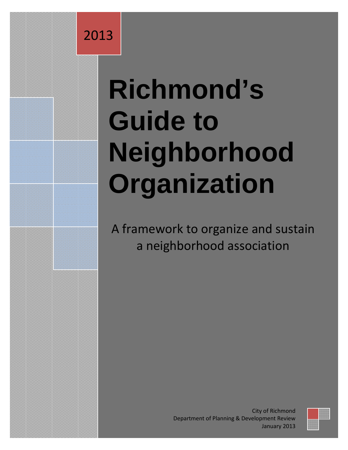

# **Richmond's Guide to Neighborhood Organization**

A framework to organize and sustain a neighborhood association

> City of Richmond Department of Planning & Development Review January 2013

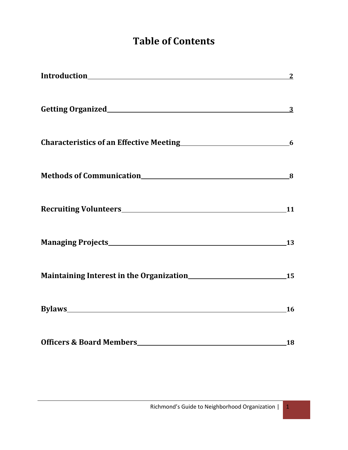# Table of Contents

| Characteristics of an Effective Meeting<br><u>6</u> |                                                |
|-----------------------------------------------------|------------------------------------------------|
|                                                     |                                                |
|                                                     |                                                |
|                                                     |                                                |
|                                                     | Maintaining Interest in the Organization<br>15 |
|                                                     |                                                |
|                                                     | 18                                             |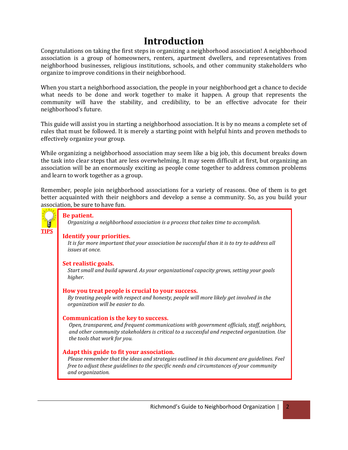## Introduction

Congratulations on taking the first steps in organizing a neighborhood association! A neighborhood association is a group of homeowners, renters, apartment dwellers, and representatives from neighborhood businesses, religious institutions, schools, and other community stakeholders who organize to improve conditions in their neighborhood.

When you start a neighborhood association, the people in your neighborhood get a chance to decide what needs to be done and work together to make it happen. A group that represents the community will have the stability, and credibility, to be an effective advocate for their neighborhood's future.

This guide will assist you in starting a neighborhood association. It is by no means a complete set of rules that must be followed. It is merely a starting point with helpful hints and proven methods to effectively organize your group.

While organizing a neighborhood association may seem like a big job, this document breaks down the task into clear steps that are less overwhelming. It may seem difficult at first, but organizing an association will be an enormously exciting as people come together to address common problems and learn to work together as a group.

Remember, people join neighborhood associations for a variety of reasons. One of them is to get better acquainted with their neighbors and develop a sense a community. So, as you build your association, be sure to have fun.

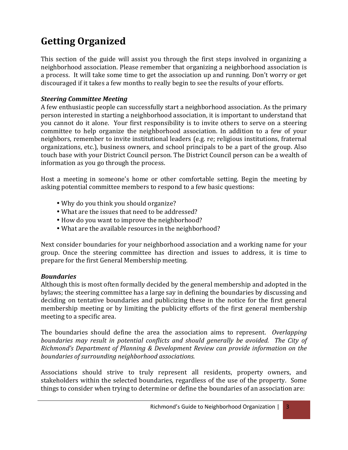# Getting Organized

This section of the guide will assist you through the first steps involved in organizing a neighborhood association. Please remember that organizing a neighborhood association is a process. It will take some time to get the association up and running. Don't worry or get discouraged if it takes a few months to really begin to see the results of your efforts.

#### Steering Committee Meeting

A few enthusiastic people can successfully start a neighborhood association. As the primary person interested in starting a neighborhood association, it is important to understand that you cannot do it alone. Your first responsibility is to invite others to serve on a steering committee to help organize the neighborhood association. In addition to a few of your neighbors, remember to invite institutional leaders (e.g. re; religious institutions, fraternal organizations, etc.), business owners, and school principals to be a part of the group. Also touch base with your District Council person. The District Council person can be a wealth of information as you go through the process.

Host a meeting in someone's home or other comfortable setting. Begin the meeting by asking potential committee members to respond to a few basic questions:

- Why do you think you should organize?
- What are the issues that need to be addressed?
- How do you want to improve the neighborhood?
- What are the available resources in the neighborhood?

Next consider boundaries for your neighborhood association and a working name for your group. Once the steering committee has direction and issues to address, it is time to prepare for the first General Membership meeting.

#### **Boundaries**

Although this is most often formally decided by the general membership and adopted in the bylaws; the steering committee has a large say in defining the boundaries by discussing and deciding on tentative boundaries and publicizing these in the notice for the first general membership meeting or by limiting the publicity efforts of the first general membership meeting to a specific area.

The boundaries should define the area the association aims to represent. *Overlapping* boundaries may result in potential conflicts and should generally be avoided. The City of Richmond's Department of Planning & Development Review can provide information on the boundaries of surrounding neighborhood associations.

Associations should strive to truly represent all residents, property owners, and stakeholders within the selected boundaries, regardless of the use of the property. Some things to consider when trying to determine or define the boundaries of an association are: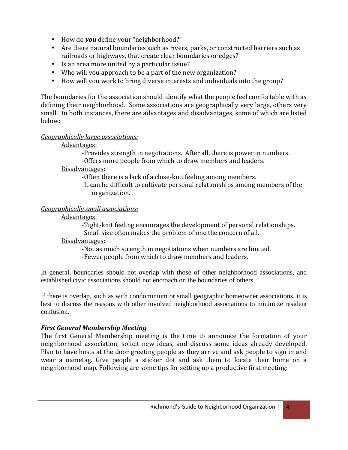- How do you define your "neighborhood?"
- Are there natural boundaries such as rivers, parks, or constructed barriers such as railroads or highways, that create clear boundaries or edges?
- Is an area more united by a particular issue?
- Who will you approach to be a part of the new organization?
- How will you work to bring diverse interests and individuals into the group?

The boundaries for the association should identify what the people feel comfortable with as defining their neighborhood. Some associations are geographically very large, others very small. In both instances, there are advantages and disadvantages, some of which are listed below:

#### Geographically large associations:

#### Advantages:

-Provides strength in negotiations. After all, there is power in numbers.

-Offers more people from which to draw members and leaders.

#### Disadvantages:

-Often there is a lack of a close-knit feeling among members.

-It can be difficult to cultivate personal relationships among members of the organization.

#### Geographically small associations:

#### Advantages:

-Tight-knit feeling encourages the development of personal relationships.

-Small size often makes the problem of one the concern of all.

#### Disadvantages:

-Not as much strength in negotiations when numbers are limited.

-Fewer people from which to draw members and leaders.

In general, boundaries should not overlap with those of other neighborhood associations, and established civic associations should not encroach on the boundaries of others.

If there is overlap, such as with condominium or small geographic homeowner associations, it is best to discuss the reasons with other involved neighborhood associations to minimize resident confusion.

#### First General Membership Meeting

The first General Membership meeting is the time to announce the formation of your neighborhood association, solicit new ideas, and discuss some ideas already developed. Plan to have hosts at the door greeting people as they arrive and ask people to sign in and wear a nametag. Give people a sticker dot and ask them to locate their home on a neighborhood map. Following are some tips for setting up a productive first meeting: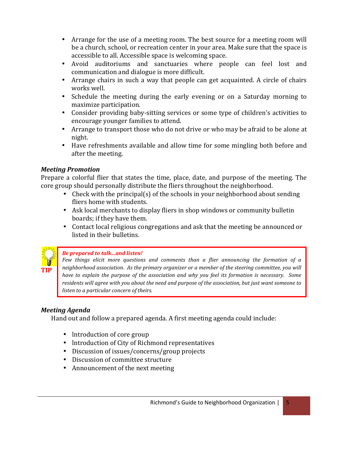- Arrange for the use of a meeting room. The best source for a meeting room will be a church, school, or recreation center in your area. Make sure that the space is accessible to all. Accessible space is welcoming space.
- Avoid auditoriums and sanctuaries where people can feel lost and communication and dialogue is more difficult.
- Arrange chairs in such a way that people can get acquainted. A circle of chairs works well.
- Schedule the meeting during the early evening or on a Saturday morning to maximize participation.
- Consider providing baby-sitting services or some type of children's activities to encourage younger families to attend.
- Arrange to transport those who do not drive or who may be afraid to be alone at night.
- Have refreshments available and allow time for some mingling both before and after the meeting.

#### Meeting Promotion

Prepare a colorful flier that states the time, place, date, and purpose of the meeting. The core group should personally distribute the fliers throughout the neighborhood.

- Check with the principal(s) of the schools in your neighborhood about sending fliers home with students.
- Ask local merchants to display fliers in shop windows or community bulletin boards; if they have them.
- Contact local religious congregations and ask that the meeting be announced or listed in their bulletins.

#### Be prepared to talk…and listen!

Few things elicit more questions and comments than a flier announcing the formation of a neighborhood association. As the primary organizer or a member of the steering committee, you will have to explain the purpose of the association and why you feel its formation is necessary. Some residents will agree with you about the need and purpose of the association, but just want someone to listen to a particular concern of theirs.

#### Meeting Agenda

TIP

Hand out and follow a prepared agenda. A first meeting agenda could include:

- Introduction of core group
- lntroduction of City of Richmond representatives
- Discussion of issues/concerns/group projects
- Discussion of committee structure
- Announcement of the next meeting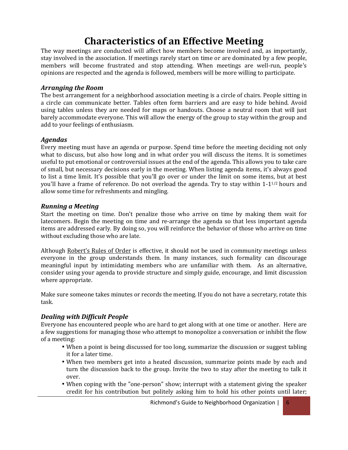# Characteristics of an Effective Meeting

The way meetings are conducted will affect how members become involved and, as importantly, stay involved in the association. If meetings rarely start on time or are dominated by a few people, members will become frustrated and stop attending. When meetings are well-run, people's opinions are respected and the agenda is followed, members will be more willing to participate.

#### Arranging the Room

The best arrangement for a neighborhood association meeting is a circle of chairs. People sitting in a circle can communicate better. Tables often form barriers and are easy to hide behind. Avoid using tables unless they are needed for maps or handouts. Choose a neutral room that will just barely accommodate everyone. This will allow the energy of the group to stay within the group and add to your feelings of enthusiasm.

#### Agendas

Every meeting must have an agenda or purpose. Spend time before the meeting deciding not only what to discuss, but also how long and in what order you will discuss the items. It is sometimes useful to put emotional or controversial issues at the end of the agenda. This allows you to take care of small, but necessary decisions early in the meeting. When listing agenda items, it's always good to list a time limit. It's possible that you'll go over or under the limit on some items, but at best you'll have a frame of reference. Do not overload the agenda. Try to stay within 1-11/2 hours and allow some time for refreshments and mingling.

#### Running a Meeting

Start the meeting on time. Don't penalize those who arrive on time by making them wait for latecomers. Begin the meeting on time and re-arrange the agenda so that less important agenda items are addressed early. By doing so, you will reinforce the behavior of those who arrive on time without excluding those who are late.

Although Robert's Rules of Order is effective, it should not be used in community meetings unless everyone in the group understands them. In many instances, such formality can discourage meaningful input by intimidating members who are unfamiliar with them. As an alternative, consider using your agenda to provide structure and simply guide, encourage, and limit discussion where appropriate.

Make sure someone takes minutes or records the meeting. If you do not have a secretary, rotate this task.

#### Dealing with Difficult People

Everyone has encountered people who are hard to get along with at one time or another. Here are a few suggestions for managing those who attempt to monopolize a conversation or inhibit the flow of a meeting:

- When a point is being discussed for too long, summarize the discussion or suggest tabling it for a later time.
- When two members get into a heated discussion, summarize points made by each and turn the discussion back to the group. Invite the two to stay after the meeting to talk it over.
- When coping with the "one-person" show; interrupt with a statement giving the speaker credit for his contribution but politely asking him to hold his other points until later;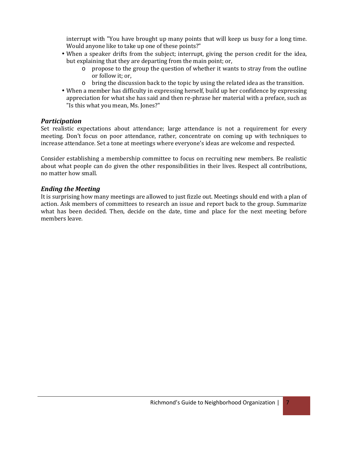interrupt with "You have brought up many points that will keep us busy for a long time. Would anyone like to take up one of these points?"

- When a speaker drifts from the subject; interrupt, giving the person credit for the idea, but explaining that they are departing from the main point; or,
	- o propose to the group the question of whether it wants to stray from the outline or follow it; or,
	- o bring the discussion back to the topic by using the related idea as the transition.
- When a member has difficulty in expressing herself, build up her confidence by expressing appreciation for what she has said and then re-phrase her material with a preface, such as "Is this what you mean, Ms. Jones?"

#### Participation

Set realistic expectations about attendance; large attendance is not a requirement for every meeting. Don't focus on poor attendance, rather, concentrate on coming up with techniques to increase attendance. Set a tone at meetings where everyone's ideas are welcome and respected.

Consider establishing a membership committee to focus on recruiting new members. Be realistic about what people can do given the other responsibilities in their lives. Respect all contributions, no matter how small.

#### Ending the Meeting

It is surprising how many meetings are allowed to just fizzle out. Meetings should end with a plan of action. Ask members of committees to research an issue and report back to the group. Summarize what has been decided. Then, decide on the date, time and place for the next meeting before members leave.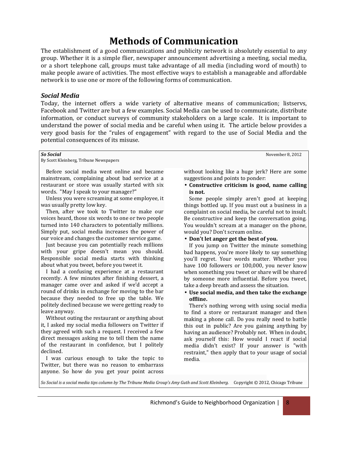## Methods of Communication

The establishment of a good communications and publicity network is absolutely essential to any group. Whether it is a simple flier, newspaper announcement advertising a meeting, social media, or a short telephone call, groups must take advantage of all media (including word of mouth) to make people aware of activities. The most effective ways to establish a manageable and affordable network is to use one or more of the following forms of communication.

#### Social Media

Today, the internet offers a wide variety of alternative means of communication; listservs, Facebook and Twitter are but a few examples. Social Media can be used to communicate, distribute information, or conduct surveys of community stakeholders on a large scale. It is important to understand the power of social media and be careful when using it. The article below provides a very good basis for the "rules of engagement" with regard to the use of Social Media and the potential consequences of its misuse.

#### So Social November 8, 2012

By Scott Kleinberg, Tribune Newspapers

Before social media went online and became mainstream, complaining about bad service at a restaurant or store was usually started with six words. "May I speak to your manager?"

Unless you were screaming at some employee, it was usually pretty low key.

Then, after we took to Twitter to make our voices heard, those six words to one or two people turned into 140 characters to potentially millions. Simply put, social media increases the power of our voice and changes the customer service game.

Just because you can potentially reach millions with your gripe doesn't mean you should. Responsible social media starts with thinking about what you tweet, before you tweet it.

I had a confusing experience at a restaurant recently. A few minutes after finishing dessert, a manager came over and asked if we'd accept a round of drinks in exchange for moving to the bar because they needed to free up the table. We politely declined because we were getting ready to leave anyway.

Without outing the restaurant or anything about it, I asked my social media followers on Twitter if they agreed with such a request. I received a few direct messages asking me to tell them the name of the restaurant in confidence, but I politely declined.

I was curious enough to take the topic to Twitter, but there was no reason to embarrass anyone. So how do you get your point across without looking like a huge jerk? Here are some suggestions and points to ponder:

• Constructive criticism is good, name calling is not.

Some people simply aren't good at keeping things bottled up. If you must out a business in a complaint on social media, be careful not to insult. Be constructive and keep the conversation going. You wouldn't scream at a manager on the phone, would you? Don't scream online.

#### • Don't let anger get the best of you.

If you jump on Twitter the minute something bad happens, you're more likely to say something you'll regret. Your words matter. Whether you have 100 followers or 100,000, you never know when something you tweet or share will be shared by someone more influential. Before you tweet, take a deep breath and assess the situation.

#### • Use social media, and then take the exchange offline.

There's nothing wrong with using social media to find a store or restaurant manager and then making a phone call. Do you really need to battle this out in public? Are you gaining anything by having an audience? Probably not. When in doubt, ask yourself this: How would I react if social media didn't exist? If your answer is "with restraint," then apply that to your usage of social media.

So Social is a social media tips column by The Tribune Media Group's Amy Guth and Scott Kleinberg. Copyright © 2012, Chicago Tribune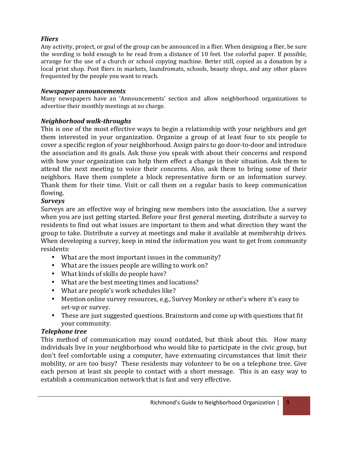#### **Fliers**

Any activity, project, or goal of the group can be announced in a flier. When designing a flier, be sure the wording is bold enough to be read from a distance of 10 feet. Use colorful paper. If possible, arrange for the use of a church or school copying machine. Better still, copied as a donation by a local print shop. Post fliers in markets, laundromats, schools, beauty shops, and any other places frequented by the people you want to reach.

#### Newspaper announcements

Many newspapers have an 'Announcements' section and allow neighborhood organizations to advertise their monthly meetings at no charge.

#### Neighborhood walk-throughs

This is one of the most effective ways to begin a relationship with your neighbors and get them interested in your organization. Organize a group of at least four to six people to cover a specific region of your neighborhood. Assign pairs to go door-to-door and introduce the association and its goals. Ask those you speak with about their concerns and respond with how your organization can help them effect a change in their situation. Ask them to attend the next meeting to voice their concerns. Also, ask them to bring some of their neighbors. Have them complete a block representative form or an information survey. Thank them for their time. Visit or call them on a regular basis to keep communication flowing.

#### Surveys

Surveys are an effective way of bringing new members into the association. Use a survey when you are just getting started. Before your first general meeting, distribute a survey to residents to find out what issues are important to them and what direction they want the group to take. Distribute a survey at meetings and make it available at membership drives. When developing a survey, keep in mind the information you want to get from community residents:

- What are the most important issues in the community?
- What are the issues people are willing to work on?
- What kinds of skills do people have?
- What are the best meeting times and locations?
- What are people's work schedules like?
- Mention online survey resources, e.g., Survey Monkey or other's where it's easy to set-up or survey.
- These are just suggested questions. Brainstorm and come up with questions that fit your community.

#### Telephone tree

This method of communication may sound outdated, but think about this. How many individuals live in your neighborhood who would like to participate in the civic group, but don't feel comfortable using a computer, have extenuating circumstances that limit their mobility, or are too busy? These residents may volunteer to be on a telephone tree. Give each person at least six people to contact with a short message. This is an easy way to establish a communication network that is fast and very effective.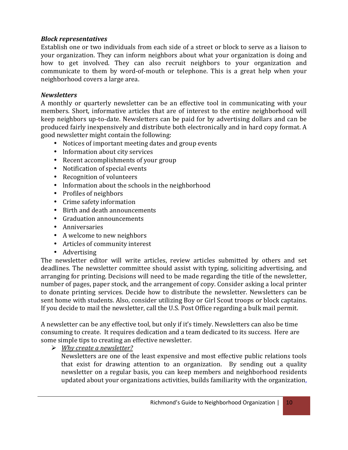#### Block representatives

Establish one or two individuals from each side of a street or block to serve as a liaison to your organization. They can inform neighbors about what your organization is doing and how to get involved. They can also recruit neighbors to your organization and communicate to them by word-of-mouth or telephone. This is a great help when your neighborhood covers a large area.

#### **Newsletters**

A monthly or quarterly newsletter can be an effective tool in communicating with your members. Short, informative articles that are of interest to the entire neighborhood will keep neighbors up-to-date. Newsletters can be paid for by advertising dollars and can be produced fairly inexpensively and distribute both electronically and in hard copy format. A good newsletter might contain the following:

- Notices of important meeting dates and group events
- Information about city services
- Recent accomplishments of your group
- Notification of special events
- Recognition of volunteers
- Information about the schools in the neighborhood
- Profiles of neighbors
- Crime safety information
- Birth and death announcements
- Graduation announcements
- Anniversaries
- A welcome to new neighbors
- Articles of community interest
- Advertising

The newsletter editor will write articles, review articles submitted by others and set deadlines. The newsletter committee should assist with typing, soliciting advertising, and arranging for printing. Decisions will need to be made regarding the title of the newsletter, number of pages, paper stock, and the arrangement of copy. Consider asking a local printer to donate printing services. Decide how to distribute the newsletter. Newsletters can be sent home with students. Also, consider utilizing Boy or Girl Scout troops or block captains. If you decide to mail the newsletter, call the U.S. Post Office regarding a bulk mail permit.

A newsletter can be any effective tool, but only if it's timely. Newsletters can also be time consuming to create. It requires dedication and a team dedicated to its success. Here are some simple tips to creating an effective newsletter.

 $\triangleright$  Why create a newsletter?

Newsletters are one of the least expensive and most effective public relations tools that exist for drawing attention to an organization. By sending out a quality newsletter on a regular basis, you can keep members and neighborhood residents updated about your organizations activities, builds familiarity with the organization,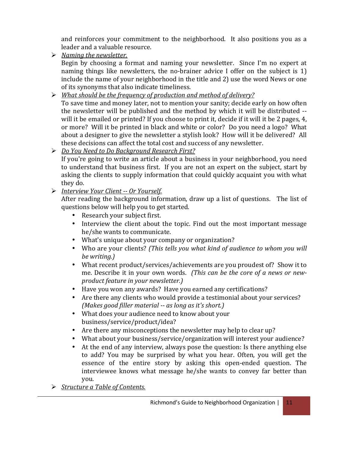and reinforces your commitment to the neighborhood. It also positions you as a leader and a valuable resource.

 $\triangleright$  Naming the newsletter.

Begin by choosing a format and naming your newsletter. Since I'm no expert at naming things like newsletters, the no-brainer advice I offer on the subject is 1) include the name of your neighborhood in the title and 2) use the word News or one of its synonyms that also indicate timeliness.

 $\triangleright$  What should be the frequency of production and method of delivery?

To save time and money later, not to mention your sanity; decide early on how often the newsletter will be published and the method by which it will be distributed - will it be emailed or printed? If you choose to print it, decide if it will it be 2 pages, 4, or more? Will it be printed in black and white or color? Do you need a logo? What about a designer to give the newsletter a stylish look? How will it be delivered? All these decisions can affect the total cost and success of any newsletter.

▶ Do You Need to Do Background Research First?

If you're going to write an article about a business in your neighborhood, you need to understand that business first. If you are not an expert on the subject, start by asking the clients to supply information that could quickly acquaint you with what they do.

> Interview Your Client -- Or Yourself.

After reading the background information, draw up a list of questions. The list of questions below will help you to get started.

- Research your subject first.
- Interview the client about the topic. Find out the most important message he/she wants to communicate.
- What's unique about your company or organization?
- Who are your clients? (This tells you what kind of audience to whom you will be writing.)
- What recent product/services/achievements are you proudest of? Show it to me. Describe it in your own words. (This can be the core of a news or newproduct feature in your newsletter.)
- Have you won any awards? Have you earned any certifications?
- Are there any clients who would provide a testimonial about your services? (Makes good filler material -- as long as it's short.)
- What does your audience need to know about your business/service/product/idea?
- Are there any misconceptions the newsletter may help to clear up?
- What about your business/service/organization will interest your audience?
- At the end of any interview, always pose the question: Is there anything else to add? You may be surprised by what you hear. Often, you will get the essence of the entire story by asking this open-ended question. The interviewee knows what message he/she wants to convey far better than you.
- $\triangleright$  Structure a Table of Contents.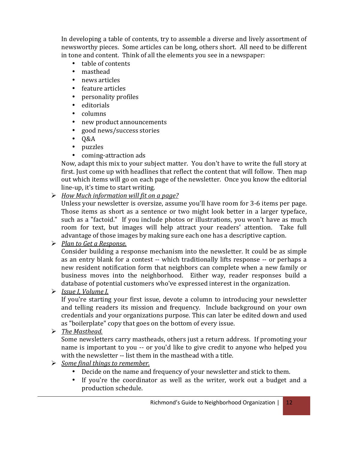In developing a table of contents, try to assemble a diverse and lively assortment of newsworthy pieces. Some articles can be long, others short. All need to be different in tone and content. Think of all the elements you see in a newspaper:

- table of contents
- masthead
- news articles
- feature articles
- personality profiles
- editorials
- columns
- new product announcements
- good news/success stories
- Q&A
- puzzles
- coming-attraction ads

Now, adapt this mix to your subject matter. You don't have to write the full story at first. Just come up with headlines that reflect the content that will follow. Then map out which items will go on each page of the newsletter. Once you know the editorial line-up, it's time to start writing.

 $\triangleright$  How Much information will fit on a page?

Unless your newsletter is oversize, assume you'll have room for 3-6 items per page. Those items as short as a sentence or two might look better in a larger typeface, such as a "factoid." If you include photos or illustrations, you won't have as much room for text, but images will help attract your readers' attention. Take full advantage of those images by making sure each one has a descriptive caption.

## $\triangleright$  Plan to Get a Response.

Consider building a response mechanism into the newsletter. It could be as simple as an entry blank for a contest -- which traditionally lifts response -- or perhaps a new resident notification form that neighbors can complete when a new family or business moves into the neighborhood. Either way, reader responses build a database of potential customers who've expressed interest in the organization.

## $\triangleright$  Issue I, Volume I.

If you're starting your first issue, devote a column to introducing your newsletter and telling readers its mission and frequency. Include background on your own credentials and your organizations purpose. This can later be edited down and used as "boilerplate" copy that goes on the bottom of every issue.

### $\triangleright$  The Masthead.

Some newsletters carry mastheads, others just a return address. If promoting your name is important to you -- or you'd like to give credit to anyone who helped you with the newsletter -- list them in the masthead with a title.

## $\triangleright$  Some final things to remember.

- Decide on the name and frequency of your newsletter and stick to them.
- If you're the coordinator as well as the writer, work out a budget and a production schedule.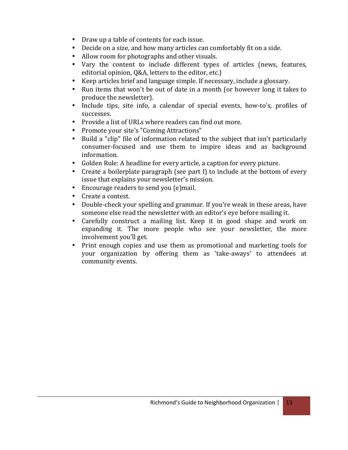- Draw up a table of contents for each issue.
- Decide on a size, and how many articles can comfortably fit on a side.
- Allow room for photographs and other visuals.
- Vary the content to include different types of articles (news, features, editorial opinion, Q&A, letters to the editor, etc.)
- Keep articles brief and language simple. If necessary, include a glossary.
- Run items that won't be out of date in a month (or however long it takes to produce the newsletter).
- Include tips, site info, a calendar of special events, how-to's, profiles of successes.
- Provide a list of URLs where readers can find out more.
- Promote your site's "Coming Attractions"
- Build a "clip" file of information related to the subject that isn't particularly consumer-focused and use them to inspire ideas and as background information.
- Golden Rule: A headline for every article, a caption for every picture.
- Create a boilerplate paragraph (see part I) to include at the bottom of every issue that explains your newsletter's mission.
- Encourage readers to send you (e)mail.
- Create a contest.
- Double-check your spelling and grammar. If you're weak in these areas, have someone else read the newsletter with an editor's eye before mailing it.
- Carefully construct a mailing list. Keep it in good shape and work on expanding it. The more people who see your newsletter, the more involvement you'll get.
- Print enough copies and use them as promotional and marketing tools for your organization by offering them as 'take-aways' to attendees at community events.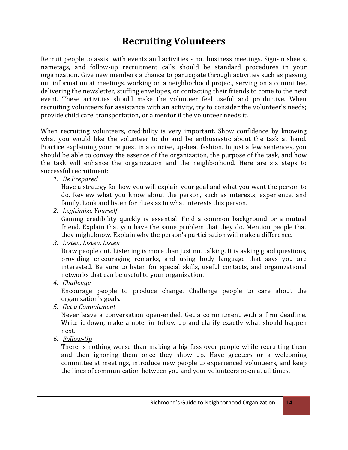## Recruiting Volunteers

Recruit people to assist with events and activities - not business meetings. Sign-in sheets, nametags, and follow-up recruitment calls should be standard procedures in your organization. Give new members a chance to participate through activities such as passing out information at meetings, working on a neighborhood project, serving on a committee, delivering the newsletter, stuffing envelopes, or contacting their friends to come to the next event. These activities should make the volunteer feel useful and productive. When recruiting volunteers for assistance with an activity, try to consider the volunteer's needs; provide child care, transportation, or a mentor if the volunteer needs it.

When recruiting volunteers, credibility is very important. Show confidence by knowing what you would like the volunteer to do and be enthusiastic about the task at hand. Practice explaining your request in a concise, up-beat fashion. In just a few sentences, you should be able to convey the essence of the organization, the purpose of the task, and how the task will enhance the organization and the neighborhood. Here are six steps to successful recruitment:

#### 1. Be Prepared

Have a strategy for how you will explain your goal and what you want the person to do. Review what you know about the person, such as interests, experience, and family. Look and listen for clues as to what interests this person.

2. Legitimize Yourself

Gaining credibility quickly is essential. Find a common background or a mutual friend. Explain that you have the same problem that they do. Mention people that they might know. Explain why the person's participation will make a difference.

3. Listen, Listen, Listen

Draw people out. Listening is more than just not talking. It is asking good questions, providing encouraging remarks, and using body language that says you are interested. Be sure to listen for special skills, useful contacts, and organizational networks that can be useful to your organization.

4. Challenge

Encourage people to produce change. Challenge people to care about the organization's goals.

5. Get a Commitment

Never leave a conversation open-ended. Get a commitment with a firm deadline. Write it down, make a note for follow-up and clarify exactly what should happen next.

6. Follow-Up

There is nothing worse than making a big fuss over people while recruiting them and then ignoring them once they show up. Have greeters or a welcoming committee at meetings, introduce new people to experienced volunteers, and keep the lines of communication between you and your volunteers open at all times.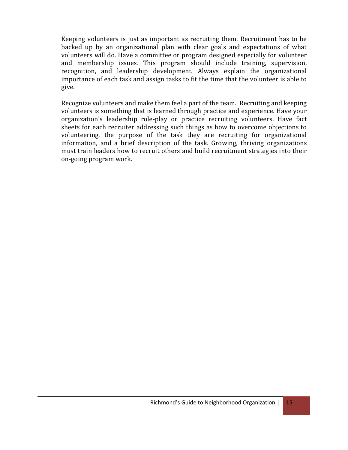Keeping volunteers is just as important as recruiting them. Recruitment has to be backed up by an organizational plan with clear goals and expectations of what volunteers will do. Have a committee or program designed especially for volunteer and membership issues. This program should include training, supervision, recognition, and leadership development. Always explain the organizational importance of each task and assign tasks to fit the time that the volunteer is able to give.

Recognize volunteers and make them feel a part of the team. Recruiting and keeping volunteers is something that is learned through practice and experience. Have your organization's leadership role-play or practice recruiting volunteers. Have fact sheets for each recruiter addressing such things as how to overcome objections to volunteering, the purpose of the task they are recruiting for organizational information, and a brief description of the task. Growing, thriving organizations must train leaders how to recruit others and build recruitment strategies into their on-going program work.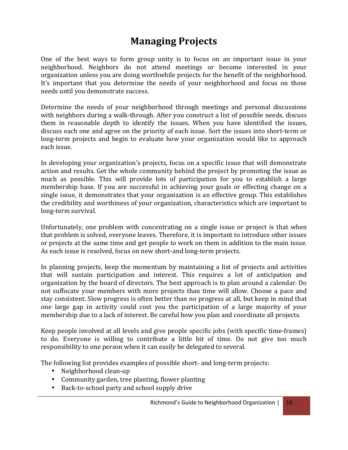## Managing Projects

One of the best ways to form group unity is to focus on an important issue in your neighborhood. Neighbors do not attend meetings or become interested in your organization unless you are doing worthwhile projects for the benefit of the neighborhood. It's important that you determine the needs of your neighborhood and focus on those needs until you demonstrate success.

Determine the needs of your neighborhood through meetings and personal discussions with neighbors during a walk-through. After you construct a list of possible needs, discuss them in reasonable depth to identify the issues. When you have identified the issues, discuss each one and agree on the priority of each issue. Sort the issues into short-term or long-term projects and begin to evaluate how your organization would like to approach each issue.

In developing your organization's projects, focus on a specific issue that will demonstrate action and results. Get the whole community behind the project by promoting the issue as much as possible. This will provide lots of participation for you to establish a large membership base. If you are successful in achieving your goals or effecting change on a single issue, it demonstrates that your organization is an effective group. This establishes the credibility and worthiness of your organization, characteristics which are important to long-term survival.

Unfortunately, one problem with concentrating on a single issue or project is that when that problem is solved, everyone leaves. Therefore, it is important to introduce other issues or projects at the same time and get people to work on them in addition to the main issue. As each issue is resolved, focus on new short-and long-term projects.

In planning projects, keep the momentum by maintaining a list of projects and activities that will sustain participation and interest. This requires a lot of anticipation and organization by the board of directors. The best approach is to plan around a calendar. Do not suffocate your members with more projects than time will allow. Choose a pace and stay consistent. Slow progress is often better than no progress at all, but keep in mind that one large gap in activity could cost you the participation of a large majority of your membership due to a lack of interest. Be careful how you plan and coordinate all projects.

Keep people involved at all levels and give people specific jobs (with specific time-frames) to do. Everyone is willing to contribute a little bit of time. Do not give too much responsibility to one person when it can easily be delegated to several.

The following list provides examples of possible short- and long-term projects:

- Neighborhood clean-up
- Community garden, tree planting, flower planting
- Back-to-school party and school supply drive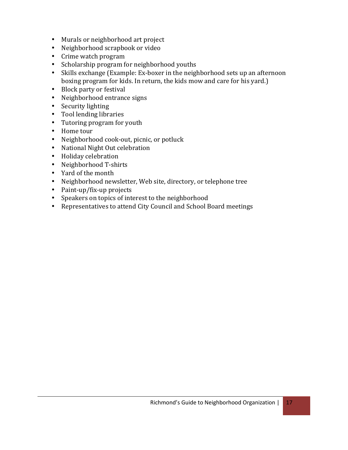- Murals or neighborhood art project
- Neighborhood scrapbook or video
- Crime watch program
- Scholarship program for neighborhood youths
- Skills exchange (Example: Ex-boxer in the neighborhood sets up an afternoon boxing program for kids. In return, the kids mow and care for his yard.)
- Block party or festival
- Neighborhood entrance signs
- Security lighting
- Tool lending libraries
- Tutoring program for youth
- Home tour
- Neighborhood cook-out, picnic, or potluck
- National Night Out celebration
- Holiday celebration
- Neighborhood T-shirts
- Yard of the month
- Neighborhood newsletter, Web site, directory, or telephone tree
- Paint-up/fix-up projects
- Speakers on topics of interest to the neighborhood
- Representatives to attend City Council and School Board meetings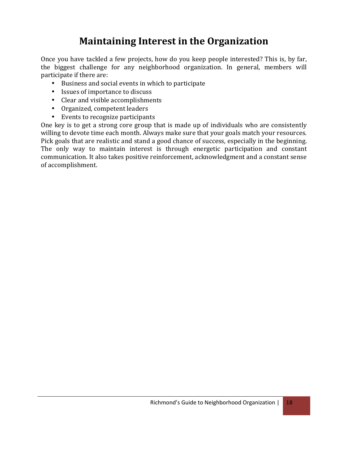## Maintaining Interest in the Organization

Once you have tackled a few projects, how do you keep people interested? This is, by far, the biggest challenge for any neighborhood organization. In general, members will participate if there are:

- Business and social events in which to participate
- Issues of importance to discuss
- Clear and visible accomplishments
- Organized, competent leaders
- Events to recognize participants

One key is to get a strong core group that is made up of individuals who are consistently willing to devote time each month. Always make sure that your goals match your resources. Pick goals that are realistic and stand a good chance of success, especially in the beginning. The only way to maintain interest is through energetic participation and constant communication. It also takes positive reinforcement, acknowledgment and a constant sense of accomplishment.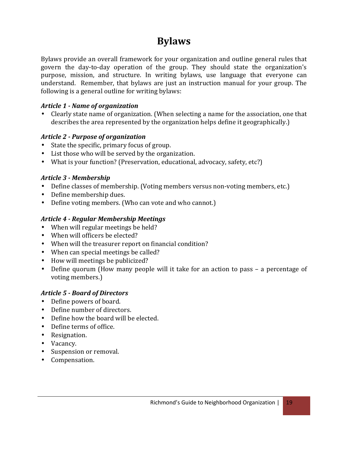## Bylaws

Bylaws provide an overall framework for your organization and outline general rules that govern the day-to-day operation of the group. They should state the organization's purpose, mission, and structure. In writing bylaws, use language that everyone can understand. Remember, that bylaws are just an instruction manual for your group. The following is a general outline for writing bylaws:

#### Article 1 - Name of organization

• Clearly state name of organization. (When selecting a name for the association, one that describes the area represented by the organization helps define it geographically.)

#### Article 2 - Purpose of organization

- State the specific, primary focus of group.
- List those who will be served by the organization.
- What is your function? (Preservation, educational, advocacy, safety, etc?)

#### Article 3 - Membership

- Define classes of membership. (Voting members versus non-voting members, etc.)
- Define membership dues.
- Define voting members. (Who can vote and who cannot.)

#### Article 4 - Regular Membership Meetings

- When will regular meetings be held?
- When will officers be elected?
- When will the treasurer report on financial condition?
- When can special meetings be called?
- How will meetings be publicized?
- Define quorum (How many people will it take for an action to pass a percentage of voting members.)

#### Article 5 - Board of Directors

- Define powers of board.
- Define number of directors.
- Define how the board will be elected.
- Define terms of office.
- Resignation.
- Vacancy.
- Suspension or removal.
- Compensation.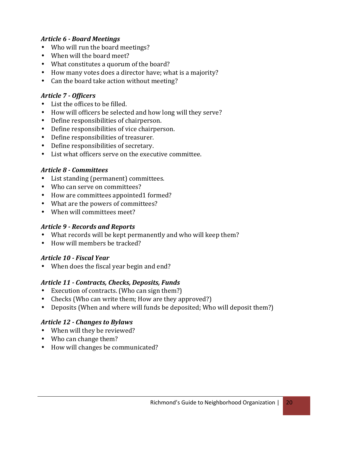#### Article 6 - Board Meetings

- Who will run the board meetings?
- When will the board meet?
- What constitutes a quorum of the board?
- How many votes does a director have; what is a majority?
- Can the board take action without meeting?

#### Article 7 - Officers

- List the offices to be filled.
- How will officers be selected and how long will they serve?
- Define responsibilities of chairperson.
- Define responsibilities of vice chairperson.
- Define responsibilities of treasurer.
- Define responsibilities of secretary.
- List what officers serve on the executive committee.

#### Article 8 - Committees

- List standing (permanent) committees.
- Who can serve on committees?
- How are committees appointed1 formed?
- What are the powers of committees?
- When will committees meet?

#### Article 9 - Records and Reports

- What records will be kept permanently and who will keep them?
- How will members be tracked?

#### Article 10 - Fiscal Year

• When does the fiscal year begin and end?

### Article 11 - Contracts, Checks, Deposits, Funds

- Execution of contracts. (Who can sign them?)
- Checks (Who can write them; How are they approved?)
- Deposits (When and where will funds be deposited; Who will deposit them?)

#### Article 12 - Changes to Bylaws

- When will they be reviewed?
- Who can change them?
- How will changes be communicated?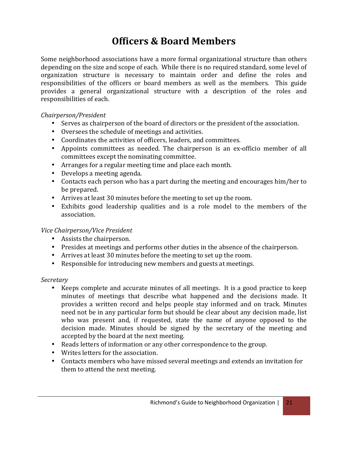## Officers & Board Members

Some neighborhood associations have a more formal organizational structure than others depending on the size and scope of each. While there is no required standard, some level of organization structure is necessary to maintain order and define the roles and responsibilities of the officers or board members as well as the members. This guide provides a general organizational structure with a description of the roles and responsibilities of each.

#### Chairperson/President

- Serves as chairperson of the board of directors or the president of the association.
- Oversees the schedule of meetings and activities.
- Coordinates the activities of officers, leaders, and committees.
- Appoints committees as needed. The chairperson is an ex-officio member of all committees except the nominating committee.
- Arranges for a regular meeting time and place each month.
- Develops a meeting agenda.
- Contacts each person who has a part during the meeting and encourages him/her to be prepared.
- Arrives at least 30 minutes before the meeting to set up the room.
- Exhibits good leadership qualities and is a role model to the members of the association.

#### Vice Chairperson/Vice President

- Assists the chairperson.
- Presides at meetings and performs other duties in the absence of the chairperson.
- Arrives at least 30 minutes before the meeting to set up the room.
- Responsible for introducing new members and guests at meetings.

#### Secretary

- Keeps complete and accurate minutes of all meetings. It is a good practice to keep minutes of meetings that describe what happened and the decisions made. It provides a written record and helps people stay informed and on track. Minutes need not be in any particular form but should be clear about any decision made, list who was present and, if requested, state the name of anyone opposed to the decision made. Minutes should be signed by the secretary of the meeting and accepted by the board at the next meeting.
- Reads letters of information or any other correspondence to the group.
- Writes letters for the association.
- Contacts members who have missed several meetings and extends an invitation for them to attend the next meeting.